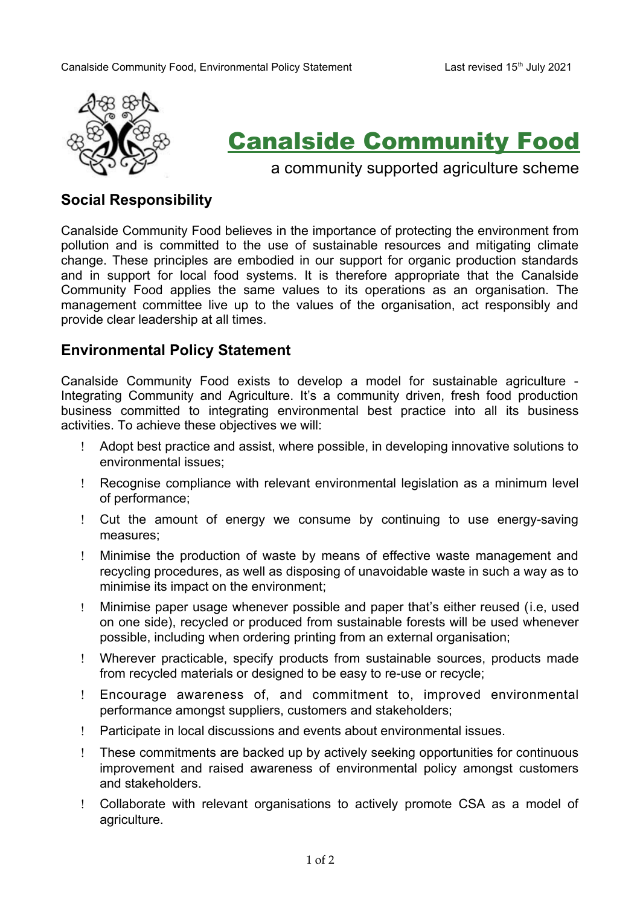

## Canalside Community Food

a community supported agriculture scheme

## **Social Responsibility**

Canalside Community Food believes in the importance of protecting the environment from pollution and is committed to the use of sustainable resources and mitigating climate change. These principles are embodied in our support for organic production standards and in support for local food systems. It is therefore appropriate that the Canalside Community Food applies the same values to its operations as an organisation. The management committee live up to the values of the organisation, act responsibly and provide clear leadership at all times.

## **Environmental Policy Statement**

Canalside Community Food exists to develop a model for sustainable agriculture - Integrating Community and Agriculture. It's a community driven, fresh food production business committed to integrating environmental best practice into all its business activities. To achieve these objectives we will:

- Adopt best practice and assist, where possible, in developing innovative solutions to environmental issues;
- Recognise compliance with relevant environmental legislation as a minimum level of performance;
- Cut the amount of energy we consume by continuing to use energy-saving measures;
- Minimise the production of waste by means of effective waste management and recycling procedures, as well as disposing of unavoidable waste in such a way as to minimise its impact on the environment;
- Minimise paper usage whenever possible and paper that's either reused (i.e, used on one side), recycled or produced from sustainable forests will be used whenever possible, including when ordering printing from an external organisation;
- Wherever practicable, specify products from sustainable sources, products made from recycled materials or designed to be easy to re-use or recycle;
- Encourage awareness of, and commitment to, improved environmental performance amongst suppliers, customers and stakeholders;
- Participate in local discussions and events about environmental issues.
- These commitments are backed up by actively seeking opportunities for continuous improvement and raised awareness of environmental policy amongst customers and stakeholders.
- Collaborate with relevant organisations to actively promote CSA as a model of agriculture.